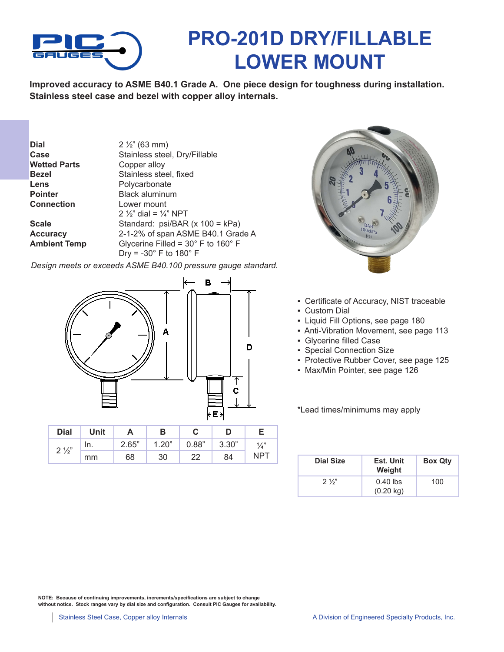

## **PRO-201D DRY/FILLABLE LOWER MOUNT**

**Improved accuracy to ASME B40.1 Grade A. One piece design for toughness during installation. Stainless steel case and bezel with copper alloy internals.** 

| $2\frac{1}{2}$ (63 mm)                               |
|------------------------------------------------------|
| Stainless steel, Dry/Fillable                        |
| Copper alloy                                         |
| Stainless steel, fixed                               |
| Polycarbonate                                        |
| <b>Black aluminum</b>                                |
| Lower mount                                          |
| 2 $\frac{1}{2}$ dial = $\frac{1}{4}$ NPT             |
| Standard: psi/BAR (x 100 = kPa)                      |
| 2-1-2% of span ASME B40.1 Grade A                    |
| Glycerine Filled = $30^{\circ}$ F to $160^{\circ}$ F |
| Dry = $-30^\circ$ F to 180 $^\circ$ F                |
|                                                      |

*Design meets or exceeds ASME B40.100 pressure gauge standard.*



| <b>Dial</b>    | Unit |       | в     |       |       |               |
|----------------|------|-------|-------|-------|-------|---------------|
| $2\frac{1}{2}$ | In.  | 2.65" | 1.20" | 0.88" | 3.30" | $\frac{1}{4}$ |
|                | mm   | 68    | 30    | 22    | 84    | NPT           |



- Certificate of Accuracy, NIST traceable
- Custom Dial
- Liquid Fill Options, see page 180
- Anti-Vibration Movement, see page 113
- Glycerine filled Case
- Special Connection Size
- Protective Rubber Cover, see page 125
- Max/Min Pointer, see page 126

\*Lead times/minimums may apply

| <b>Dial Size</b> | Est. Unit<br>Weight               | <b>Box Qty</b> |
|------------------|-----------------------------------|----------------|
| $2\frac{1}{3}$   | $0.40$ lbs<br>$(0.20 \text{ kg})$ | 100            |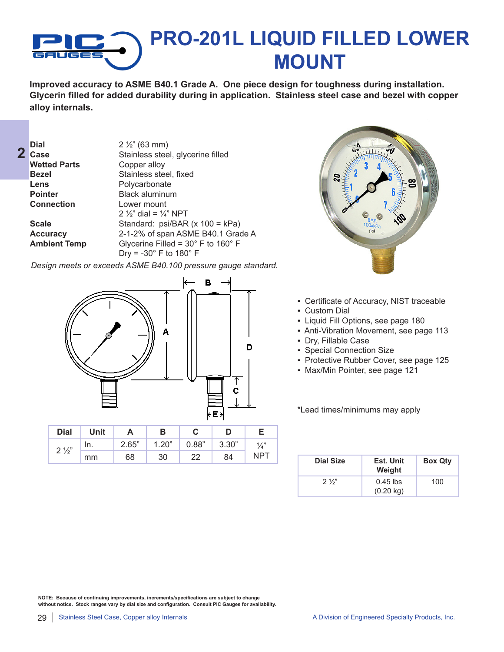

**Improved accuracy to ASME B40.1 Grade A. One piece design for toughness during installation. Glycerin filled for added durability during in application. Stainless steel case and bezel with copper alloy internals.** 

| Dial<br>Case        | $2\frac{1}{2}$ " (63 mm)<br>Stainless steel, glycerine filled |
|---------------------|---------------------------------------------------------------|
| <b>Wetted Parts</b> | Copper alloy                                                  |
| <b>Bezel</b>        | Stainless steel, fixed                                        |
| Lens                | Polycarbonate                                                 |
| <b>Pointer</b>      | <b>Black aluminum</b>                                         |
| <b>Connection</b>   | Lower mount                                                   |
|                     | 2 $\frac{1}{2}$ dial = $\frac{1}{4}$ NPT                      |
| <b>Scale</b>        | Standard: psi/BAR (x 100 = kPa)                               |
| <b>Accuracy</b>     | 2-1-2% of span ASME B40.1 Grade A                             |
| <b>Ambient Temp</b> | Glycerine Filled = $30^{\circ}$ F to $160^{\circ}$ F          |
|                     | Dry = $-30^\circ$ F to 180 $^\circ$ F                         |

*Design meets or exceeds ASME B40.100 pressure gauge standard.*



| <b>Dial</b>    | Unit |       | в     |       |       |               |
|----------------|------|-------|-------|-------|-------|---------------|
| $2\frac{1}{2}$ | In.  | 2.65" | 1.20" | 0.88" | 3.30" | $\frac{1}{4}$ |
|                | mm   | 68    | 30    | 22    | 84    | NPT           |



- Certificate of Accuracy, NIST traceable
- Custom Dial
- Liquid Fill Options, see page 180
- Anti-Vibration Movement, see page 113
- Dry, Fillable Case
- Special Connection Size
- Protective Rubber Cover, see page 125
- Max/Min Pointer, see page 121

\*Lead times/minimums may apply

| <b>Dial Size</b> | Est. Unit<br>Weight               | <b>Box Qty</b> |
|------------------|-----------------------------------|----------------|
| $2\frac{1}{3}$   | $0.45$ lbs<br>$(0.20 \text{ kg})$ | 100            |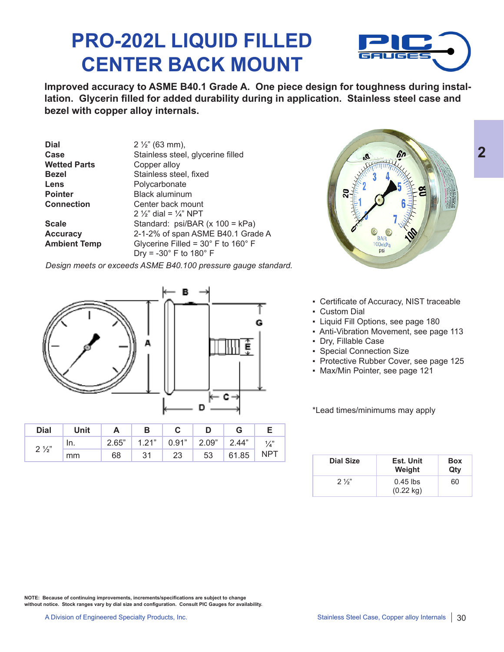## **PRO-202L LIQUID FILLED CENTER BACK MOUNT**



**2**

**Improved accuracy to ASME B40.1 Grade A. One piece design for toughness during installation. Glycerin filled for added durability during in application. Stainless steel case and bezel with copper alloy internals.** 

| $2\frac{1}{2}$ " (63 mm),                            |
|------------------------------------------------------|
| Stainless steel, glycerine filled                    |
| Copper alloy                                         |
| Stainless steel, fixed                               |
| Polycarbonate                                        |
| <b>Black aluminum</b>                                |
| Center back mount                                    |
| 2 $\frac{1}{2}$ dial = $\frac{1}{4}$ NPT             |
| Standard: psi/BAR (x 100 = kPa)                      |
| 2-1-2% of span ASME B40.1 Grade A                    |
| Glycerine Filled = $30^{\circ}$ F to $160^{\circ}$ F |
| Dry = $-30^\circ$ F to 180 $^\circ$ F                |
|                                                      |

*Design meets or exceeds ASME B40.100 pressure gauge standard.*



| Dial           | Unit |       | В     |                           |    |       |               |
|----------------|------|-------|-------|---------------------------|----|-------|---------------|
| $2\frac{1}{2}$ | In.  | 2.65" | 1.21" | $\vert$ 0.91" 2.09" 2.44" |    |       | $\frac{1}{4}$ |
|                | mm   | 68    | 31    | 23                        | 53 | 61.85 | <b>NPT</b>    |



- Certificate of Accuracy, NIST traceable
- Custom Dial
- Liquid Fill Options, see page 180
- Anti-Vibration Movement, see page 113
- Dry, Fillable Case
- Special Connection Size
- Protective Rubber Cover, see page 125
- Max/Min Pointer, see page 121

\*Lead times/minimums may apply

| <b>Dial Size</b> | Est. Unit<br>Weight               | <b>Box</b><br>Qty |
|------------------|-----------------------------------|-------------------|
| $2\frac{1}{3}$   | $0.45$ lbs<br>$(0.22 \text{ kg})$ | 60                |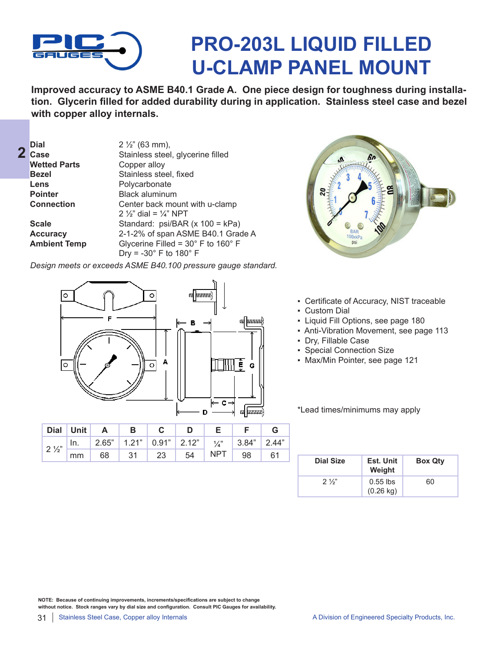

## **PRO-203L LIQUID FILLED U-CLAMP PANEL MOUNT**

**Improved accuracy to ASME B40.1 Grade A. One piece design for toughness during installation. Glycerin filled for added durability during in application. Stainless steel case and bezel with copper alloy internals.** 

| <b>Dial</b>         | $2\frac{1}{2}$ (63 mm),                              |
|---------------------|------------------------------------------------------|
| Case                | Stainless steel, glycerine filled                    |
| <b>Wetted Parts</b> | Copper alloy                                         |
| <b>Bezel</b>        | Stainless steel, fixed                               |
| Lens                | Polycarbonate                                        |
| <b>Pointer</b>      | <b>Black aluminum</b>                                |
| <b>Connection</b>   | Center back mount with u-clamp                       |
|                     | 2 $\frac{1}{2}$ dial = $\frac{1}{4}$ NPT             |
| <b>Scale</b>        | Standard: psi/BAR (x 100 = kPa)                      |
| <b>Accuracy</b>     | 2-1-2% of span ASME B40.1 Grade A                    |
| <b>Ambient Temp</b> | Glycerine Filled = $30^{\circ}$ F to $160^{\circ}$ F |
|                     | Dry = $-30^\circ$ F to 180 $^\circ$ F                |

*Design meets or exceeds ASME B40.100 pressure gauge standard.*



| Dial Unit | $\mathbf{A}$                                                                         | $\blacksquare$ |                   |    |     |    |      |
|-----------|--------------------------------------------------------------------------------------|----------------|-------------------|----|-----|----|------|
|           | $2\frac{1}{2}$   In. 2.65"   1.21"   0.91"   2.12"   $\frac{1}{4}$ "   3.84"   2.44" |                |                   |    |     |    |      |
| mm        | 68                                                                                   |                | $31 \mid 23 \mid$ | 54 | NPT | 98 | - 61 |



- Certificate of Accuracy, NIST traceable
- Custom Dial
- Liquid Fill Options, see page 180
- Anti-Vibration Movement, see page 113
- Dry, Fillable Case
- Special Connection Size
- Max/Min Pointer, see page 121

\*Lead times/minimums may apply

| Dial Size      | Est. Unit<br>Weight               | <b>Box Qty</b> |
|----------------|-----------------------------------|----------------|
| $2\frac{1}{2}$ | $0.55$ lbs<br>$(0.26 \text{ kg})$ | 60             |